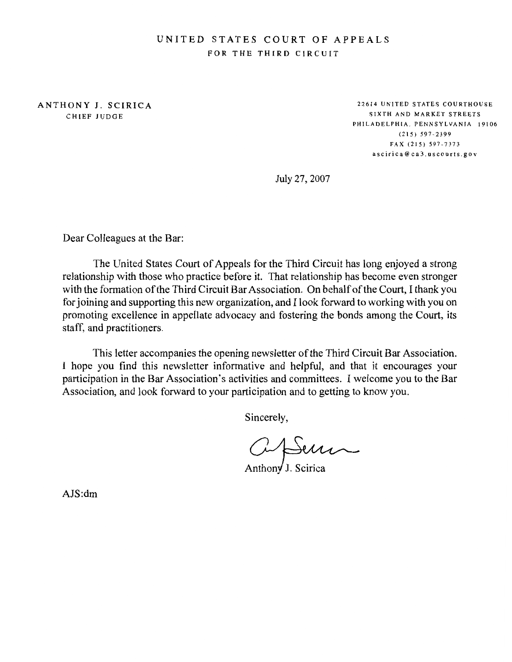# UNITED STATES COURT OF APPEALS FOR THE THIRD CIRCUIT

ANTHONY J. SCIRICA CHIEF JUDGE

22614 UNITED STATES COURTHOUSE SIXTH AND MARKET STREETS PHILADELPHIA, PENNSYLVANIA 19106  $(215) 597 - 2399$ FAX (215) 597-7373 ascirica@ca3.uscourts.gov

July 27, 2007

Dear Colleagues at the Bar:

The United States Court of Appeals for the Third Circuit has long enjoyed a strong relationship with those who practice before it. That relationship has become even stronger with the formation of the Third Circuit Bar Association. On behalf of the Court, I thank you for joining and supporting this new organization, and I look forward to working with you on promoting excellence in appellate advocacy and fostering the bonds among the Court, its staff, and practitioners.

This letter accompanies the opening newsletter of the Third Circuit Bar Association. I hope you find this newsletter informative and helpful, and that it encourages your participation in the Bar Association's activities and committees. I welcome you to the Bar Association, and look forward to your participation and to getting to know you.

Sincerely,

Cipiun

 $AJS:dm$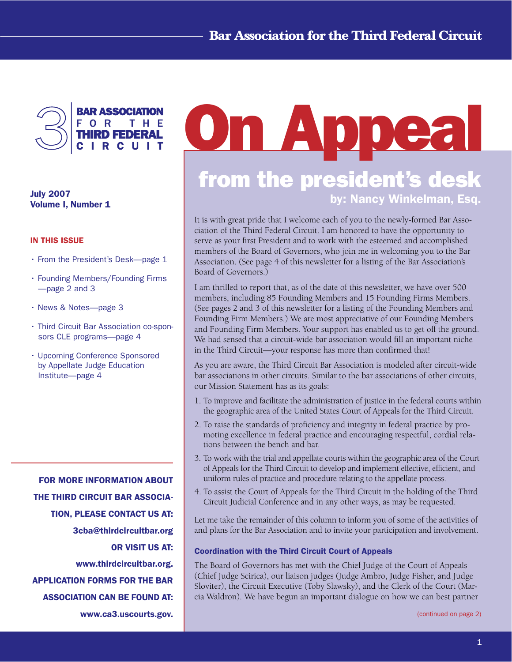

**July 2007 Volume I, Number 1**

## **IN THIS ISSUE**

- From the President's Desk-page 1
- Founding Members/Founding Firms -page 2 and 3
- · News & Notes--page 3
- Third Circuit Bar Association co-sponsors CLE programs--page 4
- Upcoming Conference Sponsored by Appellate Judge Education Institute-page 4

FOR MORE INFORMATION ABOUT THE THIRD CIRCUIT BAR ASSOCIA-TION, PLEASE CONTACT US AT: 3cba@thirdcircuitbar.org OR VISIT US AT: www.thirdcircuitbar.org. APPLICATION FORMS FOR THE BAR ASSOCIATION CAN BE FOUND AT: www.ca3.uscourts.gov.

# **On Appeal from the president's desk by: Nancy Winkelman, Esq.**

It is with great pride that I welcome each of you to the newly-formed Bar Association of the Third Federal Circuit. I am honored to have the opportunity to serve as your first President and to work with the esteemed and accomplished members of the Board of Governors, who join me in welcoming you to the Bar Association. (See page 4 of this newsletter for a listing of the Bar Association's Board of Governors.)

I am thrilled to report that, as of the date of this newsletter, we have over 500 members, including 85 Founding Members and 15 Founding Firms Members. (See pages 2 and 3 of this newsletter for a listing of the Founding Members and Founding Firm Members.) We are most appreciative of our Founding Members and Founding Firm Members. Your support has enabled us to get off the ground. We had sensed that a circuit-wide bar association would fill an important niche in the Third Circuit—your response has more than confirmed that!

As you are aware, the Third Circuit Bar Association is modeled after circuit-wide bar associations in other circuits. Similar to the bar associations of other circuits, our Mission Statement has as its goals:

- 1. To improve and facilitate the administration of justice in the federal courts within the geographic area of the United States Court of Appeals for the Third Circuit.
- 2. To raise the standards of proficiency and integrity in federal practice by promoting excellence in federal practice and encouraging respectful, cordial relations between the bench and bar.
- 3. To work with the trial and appellate courts within the geographic area of the Court of Appeals for the Third Circuit to develop and implement effective, efficient, and uniform rules of practice and procedure relating to the appellate process.
- 4. To assist the Court of Appeals for the Third Circuit in the holding of the Third Circuit Judicial Conference and in any other ways, as may be requested.

Let me take the remainder of this column to inform you of some of the activities of and plans for the Bar Association and to invite your participation and involvement.

## Coordination with the Third Circuit Court of Appeals

The Board of Governors has met with the Chief Judge of the Court of Appeals (Chief Judge Scirica), our liaison judges (Judge Ambro, Judge Fisher, and Judge Sloviter), the Circuit Executive (Toby Slawsky), and the Clerk of the Court (Marcia Waldron). We have begun an important dialogue on how we can best partner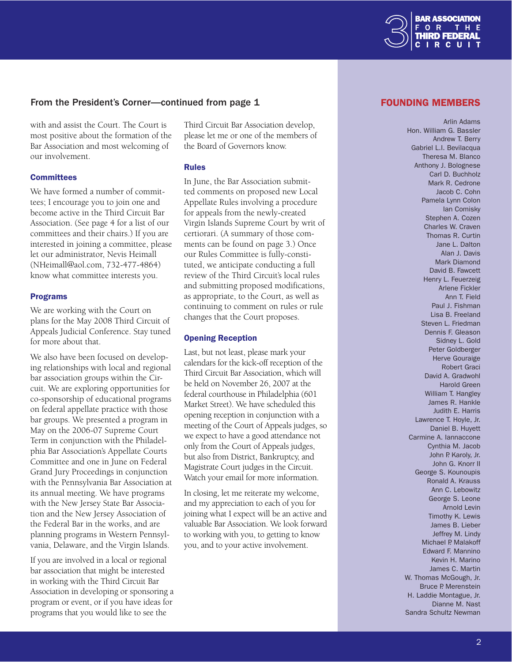

# From the President's Corner—continued from page 1

with and assist the Court. The Court is most positive about the formation of the Bar Association and most welcoming of our involvement.

#### **Committees**

We have formed a number of committees; I encourage you to join one and become active in the Third Circuit Bar Association. (See page 4 for a list of our committees and their chairs.) If you are interested in joining a committee, please let our administrator, Nevis Heimall (NHeimall@aol.com, 732-477-4864) know what committee interests you.

#### Programs

We are working with the Court on plans for the May 2008 Third Circuit of Appeals Judicial Conference. Stay tuned for more about that.

We also have been focused on developing relationships with local and regional bar association groups within the Circuit. We are exploring opportunities for co-sponsorship of educational programs on federal appellate practice with those bar groups. We presented a program in May on the 2006-07 Supreme Court Term in conjunction with the Philadelphia Bar Association's Appellate Courts Committee and one in June on Federal Grand Jury Proceedings in conjunction with the Pennsylvania Bar Association at its annual meeting. We have programs with the New Jersey State Bar Association and the New Jersey Association of the Federal Bar in the works, and are planning programs in Western Pennsylvania, Delaware, and the Virgin Islands.

If you are involved in a local or regional bar association that might be interested in working with the Third Circuit Bar Association in developing or sponsoring a program or event, or if you have ideas for programs that you would like to see the

Third Circuit Bar Association develop, please let me or one of the members of the Board of Governors know.

#### Rules

In June, the Bar Association submitted comments on proposed new Local Appellate Rules involving a procedure for appeals from the newly-created Virgin Islands Supreme Court by writ of certiorari. (A summary of those comments can be found on page 3.) Once our Rules Committee is fully-constituted, we anticipate conducting a full review of the Third Circuit's local rules and submitting proposed modifications, as appropriate, to the Court, as well as continuing to comment on rules or rule changes that the Court proposes.

#### Opening Reception

Last, but not least, please mark your calendars for the kick-off reception of the Third Circuit Bar Association, which will be held on November 26, 2007 at the federal courthouse in Philadelphia (601 Market Street). We have scheduled this opening reception in conjunction with a meeting of the Court of Appeals judges, so we expect to have a good attendance not only from the Court of Appeals judges, but also from District, Bankruptcy, and Magistrate Court judges in the Circuit. Watch your email for more information.

In closing, let me reiterate my welcome, and my appreciation to each of you for joining what I expect will be an active and valuable Bar Association. We look forward to working with you, to getting to know you, and to your active involvement.

## **FOUNDING MEMBERS**

Arlin Adams Hon, William G. Bassler Andrew T. Berry Gabriel L.I. Bevilacqua Theresa M. Blanco Anthony J. Bolognese Carl D. Buchholz Mark R. Cedrone Jacob C. Cohn Pamela Lynn Colon lan Comisky Stephen A. Cozen Charles W. Craven Thomas R. Curtin Jane L. Dalton Alan J. Davis Mark Diamond David B. Fawcett Henry L. Feuerzeig Arlene Fickler Ann T. Field Paul J. Fishman Lisa B. Freeland Steven L. Friedman Dennis F. Gleason Sidney L. Gold Peter Goldberger Herve Gouraige Robert Graci David A. Gradwohl Harold Green William T. Hangley James R. Hankle Judith E. Harris Lawrence T. Hoyle, Jr. Daniel B. Huyett Carmine A. Iannaccone Cynthia M. Jacob John P. Karoly, Jr. John G. Knorr II George S. Kounoupis Ronald A. Krauss Ann C. Lebowitz George S. Leone Arnold Levin Timothy K. Lewis James B. Lieber Jeffrey M. Lindy Michael P. Malakoff Edward F. Mannino Kevin H. Marino James C. Martin W. Thomas McGough, Jr. Bruce P. Merenstein H. Laddie Montague, Jr. Dianne M. Nast Sandra Schultz Newman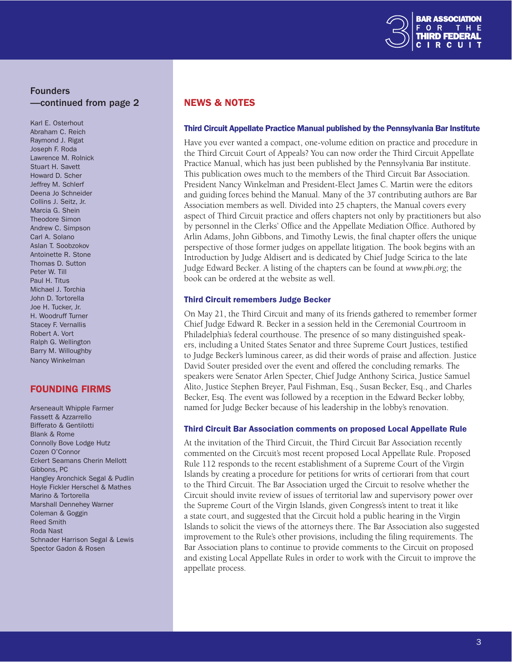

# Founders —continued from page 2

Karl E. Osterhout Abraham C. Reich Raymond J. Rigat Joseph F. Roda Lawrence M. Rolnick Stuart H. Savett Howard D. Scher Jeffrey M. Schlerf Deena Jo Schneider Collins J. Seitz, Jr. Marcia G. Shein Theodore Simon Andrew C. Simpson Carl A. Solano Aslan T. Soobzokov Antoinette R. Stone Thomas D. Sutton Peter W. Till Paul H. Titus Michael J. Torchia John D. Tortorella Joe H. Tucker, Jr. H. Woodruff Turner Stacev F. Vernallis Robert A. Vort Ralph G. Wellington Barry M. Willoughby Nancy Winkelman

# **FOUNDING FIRMS**

Arseneault Whipple Farmer Fassett & Azzarrello Bifferato & Gentilotti Blank & Rome Connolly Bove Lodge Hutz Cozen O'Connor Eckert Seamans Cherin Mellott Gibbons, PC Hangley Aronchick Segal & Pudlin Hoyle Fickler Herschel & Mathes Marino & Tortorella Marshall Dennehey Warner Coleman & Goggin Reed Smith Roda Nast Schnader Harrison Segal & Lewis Spector Gadon & Rosen

# **NEWS & NOTES**

### Third Circuit Appellate Practice Manual published by the Pennsylvania Bar Institute

Have you ever wanted a compact, one-volume edition on practice and procedure in the Third Circuit Court of Appeals? You can now order the Third Circuit Appellate Practice Manual, which has just been published by the Pennsylvania Bar institute. This publication owes much to the members of the Third Circuit Bar Association. President Nancy Winkelman and President-Elect James C. Martin were the editors and guiding forces behind the Manual. Many of the 37 contributing authors are Bar Association members as well. Divided into 25 chapters, the Manual covers every aspect of Third Circuit practice and offers chapters not only by practitioners but also by personnel in the Clerks' Office and the Appellate Mediation Office. Authored by Arlin Adams, John Gibbons, and Timothy Lewis, the final chapter offers the unique perspective of those former judges on appellate litigation. The book begins with an Introduction by Judge Aldisert and is dedicated by Chief Judge Scirica to the late Judge Edward Becker. A listing of the chapters can be found at *www.pbi.org*; the book can be ordered at the website as well.

#### Third Circuit remembers Judge Becker

On May 21, the Third Circuit and many of its friends gathered to remember former Chief Judge Edward R. Becker in a session held in the Ceremonial Courtroom in Philadelphia's federal courthouse. The presence of so many distinguished speakers, including a United States Senator and three Supreme Court Justices, testified to Judge Becker's luminous career, as did their words of praise and affection. Justice David Souter presided over the event and offered the concluding remarks. The speakers were Senator Arlen Specter, Chief Judge Anthony Scirica, Justice Samuel Alito, Justice Stephen Breyer, Paul Fishman, Esq., Susan Becker, Esq., and Charles Becker, Esq. The event was followed by a reception in the Edward Becker lobby, named for Judge Becker because of his leadership in the lobby's renovation.

## Third Circuit Bar Association comments on proposed Local Appellate Rule

At the invitation of the Third Circuit, the Third Circuit Bar Association recently commented on the Circuit's most recent proposed Local Appellate Rule. Proposed Rule 112 responds to the recent establishment of a Supreme Court of the Virgin Islands by creating a procedure for petitions for writs of certiorari from that court to the Third Circuit. The Bar Association urged the Circuit to resolve whether the Circuit should invite review of issues of territorial law and supervisory power over the Supreme Court of the Virgin Islands, given Congress's intent to treat it like a state court, and suggested that the Circuit hold a public hearing in the Virgin Islands to solicit the views of the attorneys there. The Bar Association also suggested improvement to the Rule's other provisions, including the filing requirements. The Bar Association plans to continue to provide comments to the Circuit on proposed and existing Local Appellate Rules in order to work with the Circuit to improve the appellate process.